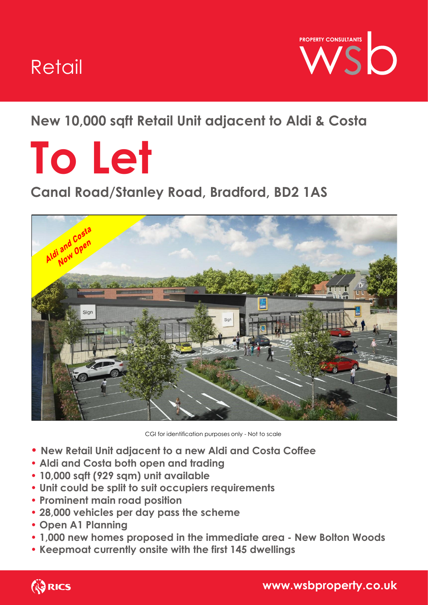## Retail



## **New 10,000 sqft Retail Unit adjacent to Aldi & Costa**

# **To Let**

## **Canal Road/Stanley Road, Bradford, BD2 1AS**



CGI for identification purposes only - Not to scale

- **New Retail Unit adjacent to a new Aldi and Costa Coffee**
- **Aldi and Costa both open and trading**
- **10,000 sqft (929 sqm) unit available**
- **Unit could be split to suit occupiers requirements**
- **Prominent main road position**
- **28,000 vehicles per day pass the scheme**
- **Open A1 Planning**
- **1,000 new homes proposed in the immediate area - New Bolton Woods**
- **Keepmoat currently onsite with the first 145 dwellings**

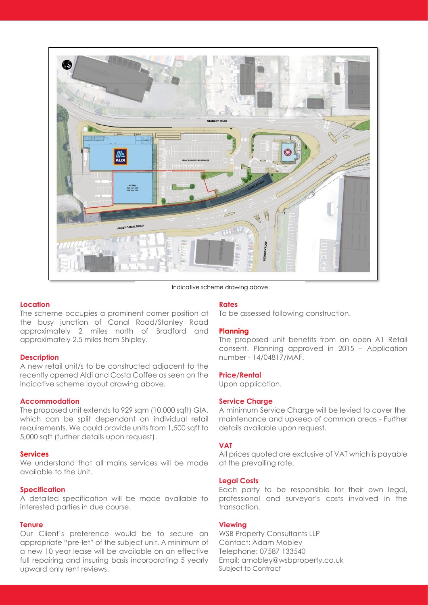

Indicative scheme drawing above

#### **Location**

The scheme occupies a prominent corner position at the busy junction of Canal Road/Stanley Road approximately 2 miles north of Bradford and approximately 2.5 miles from Shipley.

#### **Description**

A new retail unit/s to be constructed adjacent to the recently opened Aldi and Costa Coffee as seen on the indicative scheme layout drawing above.

#### **Accommodation**

The proposed unit extends to 929 sqm (10,000 sqft) GIA, which can be split dependant on individual retail requirements. We could provide units from 1,500 sqft to 5,000 sqft (further details upon request).

#### **Services**

We understand that all mains services will be made available to the Unit.

#### **Specification**

A detailed specification will be made available to interested parties in due course.

#### **Tenure**

Our Client's preference would be to secure an appropriate "pre-let" of the subject unit. A minimum of a new 10 year lease will be available on an effective full repairing and insuring basis incorporating 5 yearly upward only rent reviews.

#### **Rates**

To be assessed following construction.

#### **Planning**

The proposed unit benefits from an open A1 Retail consent. Planning approved in 2015 – Application number - 14/04817/MAF.

#### **Price/Rental**

Upon application.

#### **Service Charge**

A minimum Service Charge will be levied to cover the maintenance and upkeep of common areas - Further details available upon request.

#### **VAT**

All prices quoted are exclusive of VAT which is payable at the prevailing rate.

#### **Legal Costs**

Each party to be responsible for their own legal, professional and surveyor's costs involved in the transaction.

#### **Viewing**

WSB Property Consultants LLP Contact: Adam Mobley Telephone: 07587 133540 Email: amobley@wsbproperty.co.uk Subject to Contract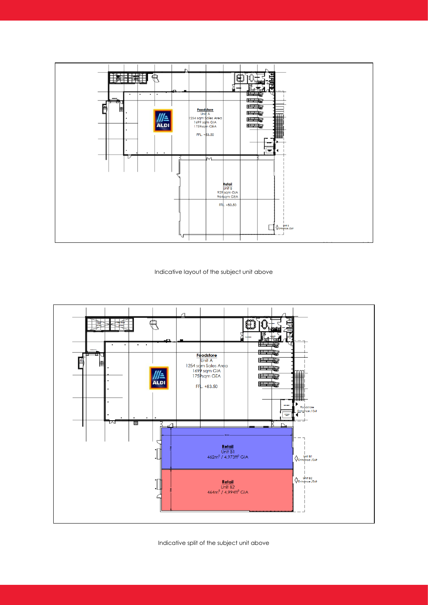

Indicative layout of the subject unit above



Indicative split of the subject unit above